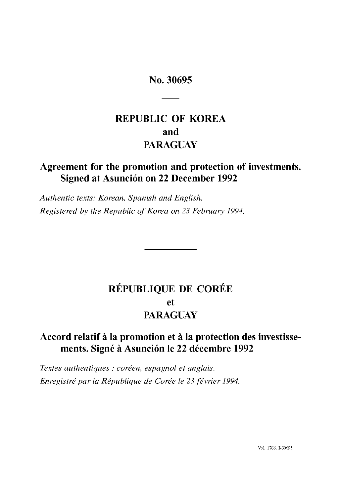## No. 30695

# REPUBLIC OF KOREA and **PARAGUAY**

## Agreement for the promotion and protection of investments. Signed at Asunciôn on 22 December 1992

Authentic texts: Korean, Spanish and English. Registered by the Republic of Korea on 23 February 1994.

# RÉPUBLIQUE DE CORÉE et **PARAGUAY**

## Accord relatif à la promotion et à la protection des investissements. Signé à Asunciôn le 22 décembre 1992

Textes authentiques : coréen, espagnol et anglais . Enregistré par la République de Corée le 23 février 1994 .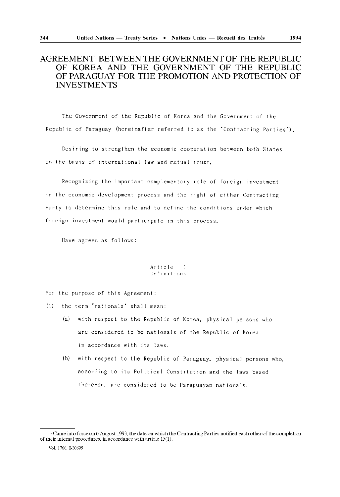## AGREEMENT' BETWEEN THE GOVERNMENT OF THE REPUBLIC OF KOREA AND THE GOVERNMENT OF THE REPUBLIC OF PARAGUAY FOR THE PROMOTION AND PROTECTION OF INVESTMENTS

The Government of the Republic of Korca and the Governinent of the Republic of Paraguay (hereinafter referred tu as the 'Contracting Parties'),

Desiring to strengthen the economic cooperation between both States on the basis of international law and mutual trust,

Recognizing the important complementary role of foreign investment in the economic development process and the right of cither Contracting Party to determine this role and to define the conditions under which foreign investment would participate in this process, 344<br>
AGREEI<br>
OF<br>
OF<br>
OF<br>
INV<br>
The<br>
Republic<br>
Des<br>
on the t<br>
Rec<br>
in the e<br>
Party to<br>
foreign<br>
Hav<br>
Hav<br>
foreign<br>
Hav<br>
Hav<br>
the t United Nations — Treaty Series • Nations Unites — Record des Traités<br>
CGREEMENT' BETWEEN THE GOVERNMENT OF THE REP<br>
OF ROREA AND THE GOVERNMENT OF THE REP<br>
OF PARAGUAY FOR THE PROMOTION AND PROTECT<br>
OF PARAGUAY FOR THE PR

Have agreed as follows :

### Article Definitions

For the purpose of this Agreement :

- $(1)$  the term 'nationals' shall mean:
	- (a) with respect to the Republic of Korea, physical persons who are considered to be nationals of the Republic of Korea in accordance with its laws.
	- (b) with respect to the Republic of Paraguay, physical persons who, according to its Political Constitution and the laws based there-on, are considered to be Paraguayan nationals.

 $1$  Came into force on 6 August 1993, the date on which the Contracting Parties notified each other of the completion of their internai procedures, in accordance with article 15(1) .

Vol. 1766, I-30695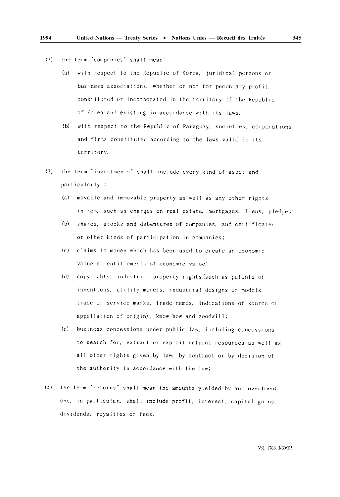- (2) the term 'companies' shall mean :
- (a) with respect to the Republic of Korea, juridical persons or business associations, whether or not for pecuniary profit, constituted or incorporated in the territory of the Republic of Korea and existing in accordance with its laws. 1994 United Nations — Treaty Series • Nations Unies — Recueil des Tra<br>
(2) the term 'companies' shall mean:<br>
(a) with respect to the Republic of Korea, juridical person<br>
business associations, whether or not for pecuniary
	- (b) with respect to the Republic of Paraguay, societies, corporations and firms constituted according to the laws valid in its territory.
	- (3) particularly :
		- (a) movable and immovable property as well as any other rights in rem, such as charges on real estate, mortgages, liens, pledges ;
		- (b) shares, stocks and debentures of companies, and certificates or other kinds of participation in companies ;
		- (c) claims to monev which lias been used to create an economic value or entitlements of economic value ;
		- (d) copyrights, industrial property rights(such as patents of inventions, utility models, industrial designs or models, trade or service marks, trade names, indications of source or appellation of origin), know-how and goodwill;
		- (e) business concessions under public law, including concessions to search for, extract or exploit natural resources as well as all other rights given by law, by contract or by decision of the authority in accordance with the law ;
	- (4) the term 'returns' shall mean the amounts yielded by an investment and, in particular, shall include profit, interest, capital gains, dividends, royalties or fees.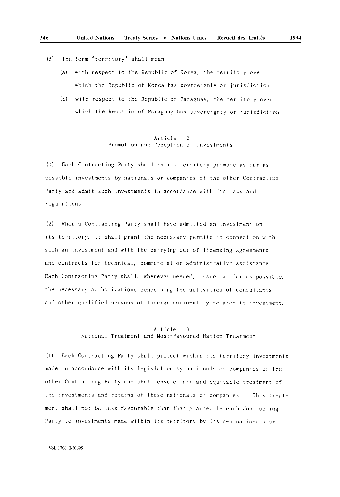- (5) the term 'territory' shall mean:
	- (a) with respect to the Republic of Korea, the territory over which the Republic of Korea has sovereignty or jurisdiction.
	- (b) with respect to the Republic of Paraguay, the territory over which the Republic of Paraguay has sovereignty or jurisdiction.

### Article 2 Promotion and Reception of investments

(1) Each Contracting Party shall in its territory promote as far as possible investments by nationals or companies of the other Contracting Party and admit such investments in accordance with its laws and regulations . United Nations — Treaty Series • Nations Unies — Recuell des Trait<br>
(5) the term 'territory' shall mean:<br>
(a) with respect to the Republic of Korea, the territory over<br>
which the Republic of Korea has sovereignty or jurisd

(2) its territory, it shall grant the necessary permits in connection with such an investment and with the carrying out of licensing agreements and contracts for technical, commercial or administrative assistance . Each Contracting Party shall, whenever needed, issue, as far as possible, the necessary authorizations concerning the activities of consultants and other qualified persons of foreign nationality related to investment.

#### Article 3 National Treatment and Most-Favoured-Nation Treatment

(1) Each Contracting Party shall protect within its territory investments made in accordance with its lcgislation by nationals or companies of the other Contracting Party and shall ensure fair and equitable treatment of the investments and returns of those nationals or companies . This treatment shall not be less favourable than that granted by each Contracting Party to investments made within its territory by its own nationals or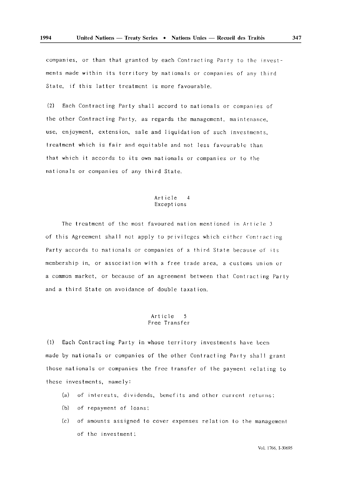companies, or than that granted by each Contracting Party to the investments made within its territory by nationals or companies of any third State, if this latter treatment is more favourable. IMMED INTERT CONTRIGUES CONTRACT UP:<br>
The Companies, or than that granted by each Contracting Party to the inverse<br>
ments made within its territory by nationals or companies of any thin<br>
State, if this latter treatment is

(2) the other Contracting Party, as regards the management, maintenance, use, enjoyment, extension, sale and liquidation of such investments, treatmcnt which is fair and equitable and not less favourable than that which it accords to its own nationals or companies or to the nationals or companies of any third State.

#### Article 4 Exceptions

The treatmcnt of the most favoured nation mentioned in Article 3 of this Agreement shall not apply to privileges which either Contracting Party accords to nationals or companies of a third State because of its membership in, or association with a free trade area, a customs union or a common market, or because of an agreement between that Contracting Party and a third State on avoidance of double taxation.

#### Article 5 Free Transfer

(1) Each Contracting Party in whose territory investments have been made by nationals or companies of the other Contracting Party shall grant those nationals or companies the free transfer of the payment relating to these investments, namely :

- (a) of interests, dividends, benefits and other current returns;
- (b) of repayment of loans ;
- (c) of amounts assigned to cover expenses relation to the management of the investment ;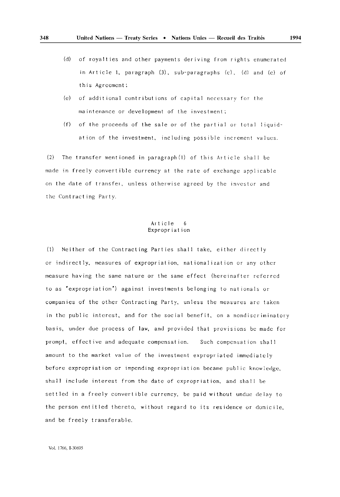- (d) of royalties and other payments deriving from rights enumerated in Article 1, paragraph (3), sub-paragraphs (c), (d) and (e) of this Agreement ;
- (e) of additional contributions of capital necessary for the maintenance or development of the investment ;
- $(f)$ of the proceeds of the sale or of the partial or total liquidation of the investment, including possible increment values.

(2) The transfer mentioned in paragraph $(1)$  of this Article shall be made in freely convertible currency at the rate of exchange applicable on the date of transfer, unless otherwise agreed by the investor and the Contracting Party.

#### Article 6 Expropriation

(1) Neither of the Contracting Parties shall take, either directly or indirectly, measures of expropriation, nationalization or any other measure having the same nature or the same effect (hereinafter referred to as 'expropriation') against investments belonging to nationals or companies of the other Contracting Party, unless the measures arc taken in the public interest, and for the social benefit, on a nondiscriminatory basic, under due process of law, and provided that provisions bc made for prompt, effective and adequate compensation. Such compensation shall amount to the market value of the investment expropriated immediately before expropriation or impending expropriation became public knowledge, shall include interest from the date of expropriation, and shall be settled in a freely convertible currency, be paid without undue delay to the person entitled thereto, without regard to its residence or domicile, and be freely transferable.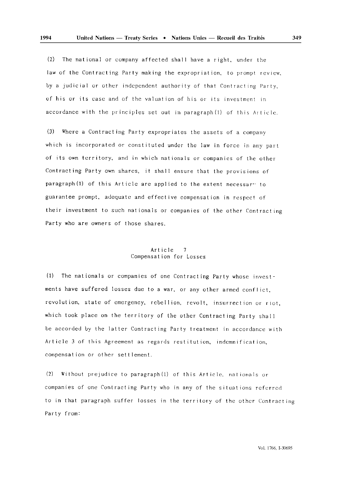(2) The national or company affected shall have a right, under the law of the Contracting Party making the expropriation, to prompt review, by a judicial or other independent authority of that Contracting Party, of his or its case and of the valuation of his or its investment in accordance with the principles set out in paragraph(l) of this Article .

(3) Where a Contracting Party expropriates the assets of a company which is incorporated or constituted under the law in force in any part of its own territory, and in which nationals or companies of the other Contracting Party own shares, it shall ensure that the provisions of paragraph(1) of this Article are applied to the extent necessary to guarantee prompt, adequate and effective compensation in respect of their investment to such nationals or companies of the other Contracting Party who are owners of those shares. Using Mindel Contract of the constrained and the server in the server in the server in the server in the server in the server in the server in the server in the server in the server in the server in the server in the serve

#### Article 7 Compensation for Losscs

(1) The nationals or companies of one Contracting Party whose investments have suffered losses due to a war, or any other armed conflict, revolution, state of cmergency, rébellion, revoit, insurrection or riot, which took place on the territory of the other Contracting Party shall be accorded by the latter Contracting Party treatment in accordance with Article 3 of ibis Agreement as regards restitution, indemnification, compensation or other settlement.

 $(2)$ companies of one Contracting Party who in any of the situations referrcd to in that paragraph suffer losses in the territory of the other Contracting Party from :

1994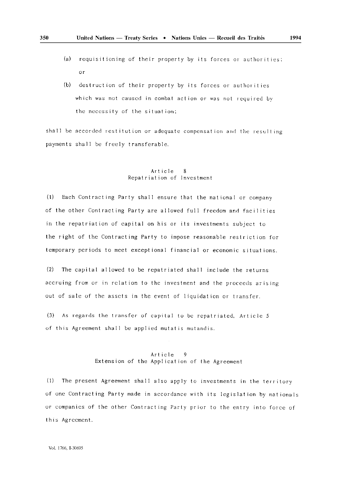- (a) requisitioning of their property by its forces or authorities; or
- (b) destruction of their property by its forces or authorities which was not caused in combat action or was not required by the nccessity of the situation ;

shall be accorded restitution or adequate compensation and the resulting payments shall be freely transferable.

#### Article 8 Repatriation of Investment

(1) Each Contracting Party shall ensure that the national or company of the other Contracting Party are allowed full freedom and facilities in the repatriation of capital on his or its investments subject to the right of the Contracting Party to impose reasonable restriction for temporary periods to meet exceptional financial or economic situations . The capital allowed to be repatriated shall include to the returns<br>The capital allowed to be repatriated shall be accorded to be returns of<br>the mecassity of the returns of the return of the returns of the return<br>of the ret

(2) The capital allowed to be repatriated shall include the returns accruing from or in relation to the investment and the proceeds arising out of sale of the assets in the event of liquidation or transfer .

l3). As regards the transfer of capital to be repatriated, Article ! of this Agreement shall be applied mutatis mutandis.

## Article 9 Extension of the Application of the Agreement

(1) The present Agreement shall also apply to investments in the territory of one Contracting Party made in accordance with its legislation by nationals or companies of the other Contracting Party prior to the entry into force of this Agreement.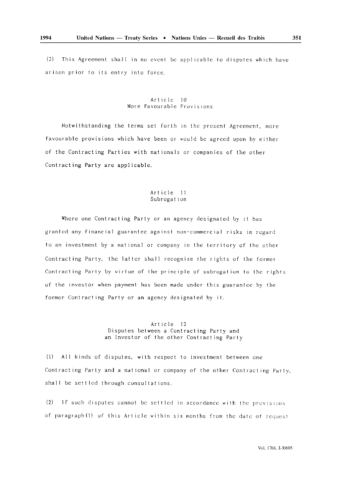$(2)$ This Agreement shall in no event be applicable to disputes which have arisen prior to its entry into force. 1994 United Nations — Treaty Series • Nation<br>
(2) This Agreement shall in no event be ap<br>
arisen prior to its entry into force.<br>
Article 10

## Article 10 More Favourable Provisions

Notwithstanding the terms set forth in the present Agreement, more favourable provisions which have been or would be agrced upon by either of the Contracting Parties with nationals or companies of the other Contracting Party are applicable.

### Article 11 Subrogation

Where one Contracting Party or an agency designated by it has granted any financial guarantec against non-commercial risks in regard to an investment by a national or company in the territory of the other Contracting Party, the latter shall recognize the rights of the former Contracting Party by virtue of the principle of subrogation to the rights of the investor when payment has been made under this guarantee by the former Contracting Party or an agency designated by it. **1994 – United Nations — Trenty Stefes • Nations Cations — Recent des Traités<br>
171 This Agreenment shall in accordant Agriculto to dispute about he<br>
Arises prior to the certy into force.<br>
North Zavislabe Provisions<br>
Note** 

### Article 12 Disputes between a Contracting Party and an Investor of the other Contracting Party

(1) All kinds of disputes, with respect to investment between one Contracting Party and a national or company of the other Contracting Party, shall be settled through consultations.

(2) If such disputes cannot be settled in accordance with the provisions of paragraph(1) of this Article within six months from the date of rcquest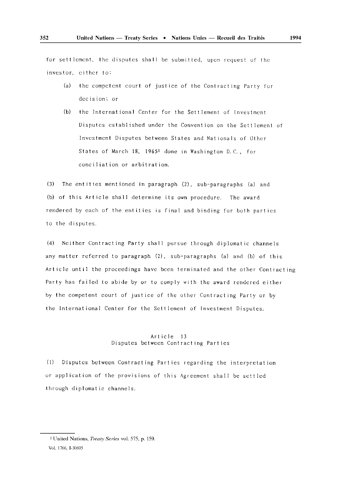for set t1cment, the disputes sha11 be submitted, upon request of the investor, cither to:

- (a) the compétent court of justice of the Contracting Party for decision; or
- (b) the International Center for the Settlement of Investment Disputes established under the Convention on the Settlement of Investment Disputes between States and Nationals of Other States of March 18, 1965<sup>1</sup> done in Washington D.C., for conciliation or arbitration. United Nations — Treaty Series • Nations Unies — Recueil des Traités<br>
for settlement, the disputes shall be submitted, upon request of the<br>
investor, either to:<br>
(a) the competent court of justice of the Contracting Party

(3) The entities mentioned in paragraph (2), sub-paragraphs (a) and (b) of this Article shall determine its own procedure. The award rendered by each of the entities is final and binding for both parties to the disputes .

(4) Neither Contracting Party shall pursue through diplomatie channels any mat ter referred to paragraph (2), sub-paragraphs (a) and (b) of this Article until the proceedings have been terminated and the other Contracting Party has failed to abide by or to comply with the award rcndcred either by the competent court of justice of the other Contracting Party or by the International Center for the Settlement of Investment Disputes .

## Article 13 Disputes between Contracting Parties

(1) Disputes between Contracting Parties regarding the interprétation or application of the provisions of this Agreement shall be settled through diplomatie channels .

<sup>&</sup>lt;sup>1</sup> United Nations, *Treaty Series* vol. 575, p. 159. Vol. 1766, I-30695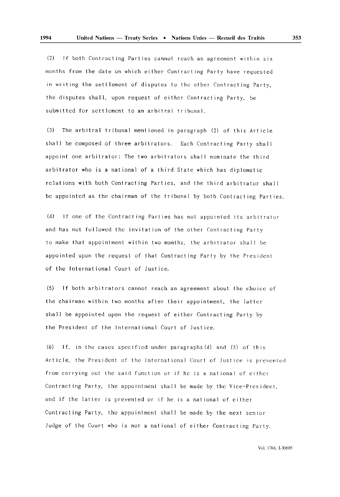(2) If both Contracting Parties cannot reach an agreement within six months from the date on which either Contracting Party have requested in writing the settlement of disputes ta the other Contracting Party, the disputes shall, upon request of either Contracting Party, be submitted for settlement to an arbitral tribunal.

(3) The arbitral tribunal mentioned in paragraph (2) of this Article shall be composed of three arbitrators. Each Contracting Party shall appoint one arbitrator; The two arbitrators shall nominate the third arbitrator who is a national of a third State which has diplomatie relations with both Contracting Parties, and the third arbitrator shall be appointed as the chairman of the tribunal by both Contracting Parties.

(4) If one of the Contracting Parties has not appointed its arbitrator and has rot followed the invitation of the other Contracting Party to make that appointment within two months, the arbitrator shall be appointed upon the request of that Contracting Party by the President of the International Court of Justice.

(5) If both arbitrators cannot reach an agreement about the choice of the chairman within two months after their appointment, the latter shall be appointed upon the request of either Contracting Party by the President of the International Court of Justice.

(6) If, in the cases specified under paragraphs  $(4)$  and  $(5)$  of this Article, the President of the International Court of Justice is prevented from carrying out the said function or if he is a national of either Contracting Party, the appointment shall be made by the Vice-President, and if the latter is prevented or if he is a national of either Contracting Party, the appointment shall be made by the next senior Judge of the Court who is not a national of either Contracting Party .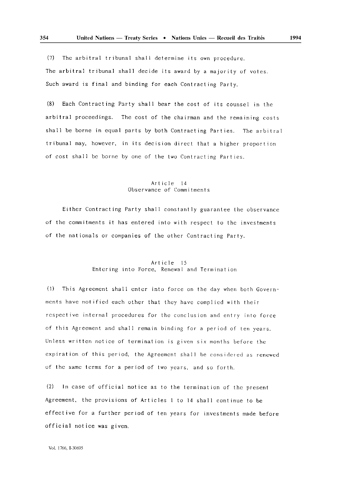(7) The arbitral tribunal shall determine its own procedure. The arbitral tribunal shall decide its award by a majority of votes. Such award is final and binding for each Contracting Party.

(8) Each Contracting Party shall bear the cost of its counsel in the arbitral proceedings. The cost of the chairman and the remaining costs shall be borne in equal parts by both Contracting Parties. The arbitral tribunal may, however, in its decision direct that a higher proportion of cost shall be borne by one of the two Contracting Parties.

> Article 14 Observance of Commitments

Either Contracting Party shall constantly guarantee the observance of the commitments it bas entered into with respect to the investments of the nationals or companies of the other Contracting Party.

## Article 15 15 Entering into Force, Renewal and Termination

(1) This Agreement shall enter into force on the day when both Governments have notified each other that they have complied with their respective internai procedures for the conclusion and entry into force of this Agreement and shall remain binding for a period of ten years . Unless written notice of termination is given six months before the expiration of this period, the Agreement shall be considered as renewed of the same terms for a period of two years, and so forth. Indeed Nations — Treaty Series • Nations Union — Record des Traficial CV.<br>
The arbitral tribunal shall determine its owar proceedure.<br>
The arbitral tribunal shall determine its owar by a majority of voles<br>
Soch award is fi

 $(2)$ Agreement, the provisions of Articles 1 to 14 shall continue to be effective for a further period of ten years for investments made before official notice was given.